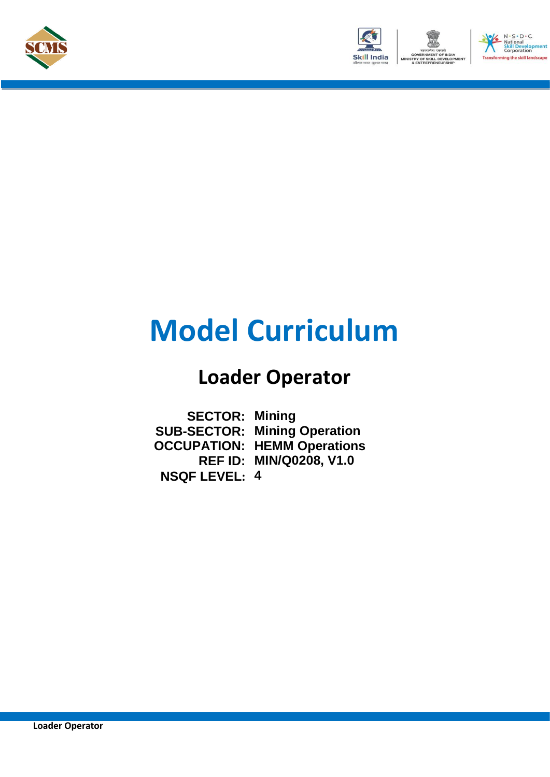





# **Model Curriculum**

## **Loader Operator**

**SECTOR: Mining SUB-SECTOR: Mining Operation OCCUPATION: HEMM Operations REF ID: MIN/Q0208, V1.0 NSQF LEVEL: 4**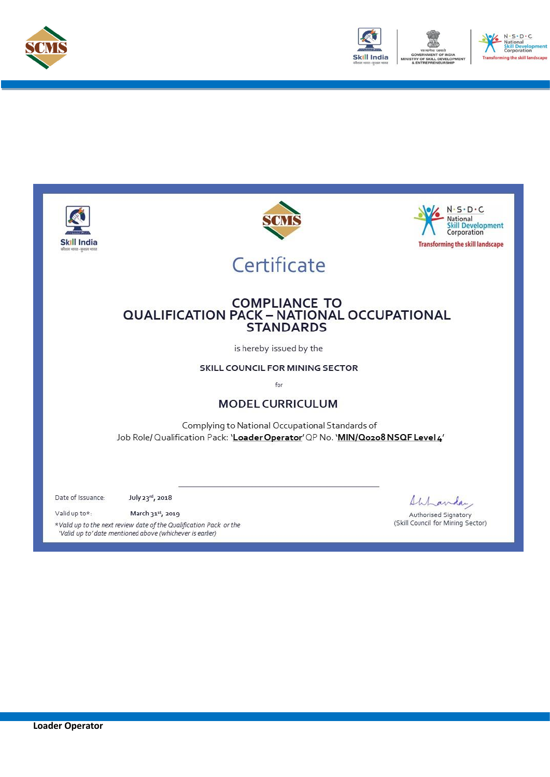



.<br>he skill landscape

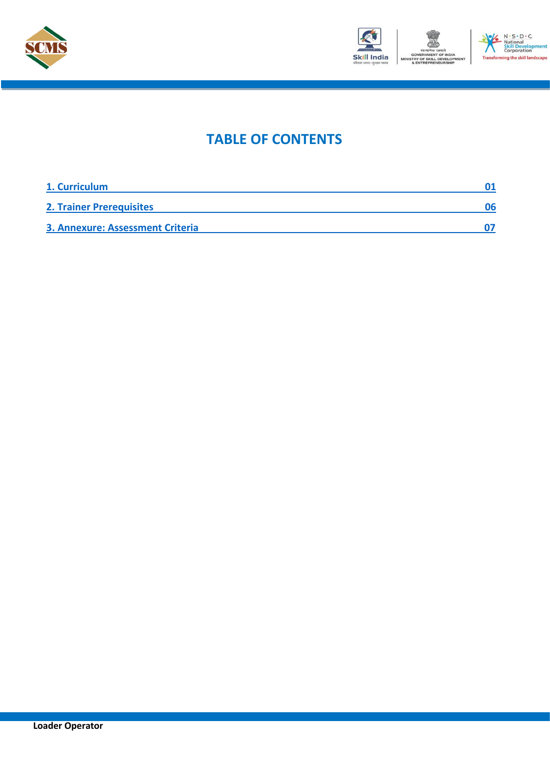



### **TABLE OF CONTENTS**

| 1. Curriculum                           |    |
|-----------------------------------------|----|
| <b>2. Trainer Prerequisites</b>         | 06 |
| <b>3. Annexure: Assessment Criteria</b> |    |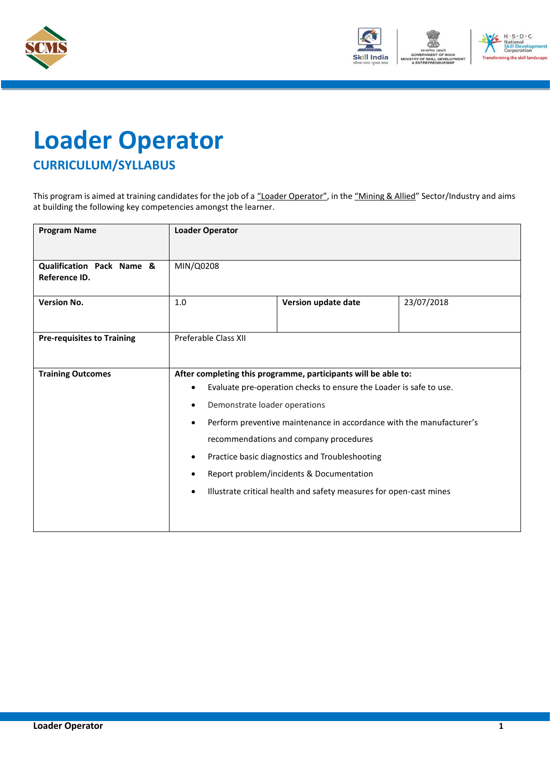



# <span id="page-3-0"></span>**Loader Operator CURRICULUM/SYLLABUS**

This program is aimed at training candidates for the job of a "Loader Operator", in the "Mining & Allied" Sector/Industry and aims at building the following key competencies amongst the learner.

| <b>Program Name</b>                        | <b>Loader Operator</b>                                                            |                                                                    |            |
|--------------------------------------------|-----------------------------------------------------------------------------------|--------------------------------------------------------------------|------------|
|                                            |                                                                                   |                                                                    |            |
| Qualification Pack Name &<br>Reference ID. | MIN/Q0208                                                                         |                                                                    |            |
| <b>Version No.</b>                         | 1.0                                                                               | Version update date                                                | 23/07/2018 |
|                                            |                                                                                   |                                                                    |            |
| <b>Pre-requisites to Training</b>          | Preferable Class XII                                                              |                                                                    |            |
|                                            |                                                                                   |                                                                    |            |
| <b>Training Outcomes</b>                   |                                                                                   | After completing this programme, participants will be able to:     |            |
|                                            | $\bullet$                                                                         |                                                                    |            |
|                                            | Evaluate pre-operation checks to ensure the Loader is safe to use.                |                                                                    |            |
|                                            | Demonstrate loader operations<br>$\bullet$                                        |                                                                    |            |
|                                            | Perform preventive maintenance in accordance with the manufacturer's<br>$\bullet$ |                                                                    |            |
|                                            |                                                                                   | recommendations and company procedures                             |            |
|                                            | Practice basic diagnostics and Troubleshooting<br>$\bullet$                       |                                                                    |            |
|                                            |                                                                                   | Report problem/incidents & Documentation                           |            |
|                                            | $\bullet$                                                                         | Illustrate critical health and safety measures for open-cast mines |            |
|                                            |                                                                                   |                                                                    |            |
|                                            |                                                                                   |                                                                    |            |
|                                            |                                                                                   |                                                                    |            |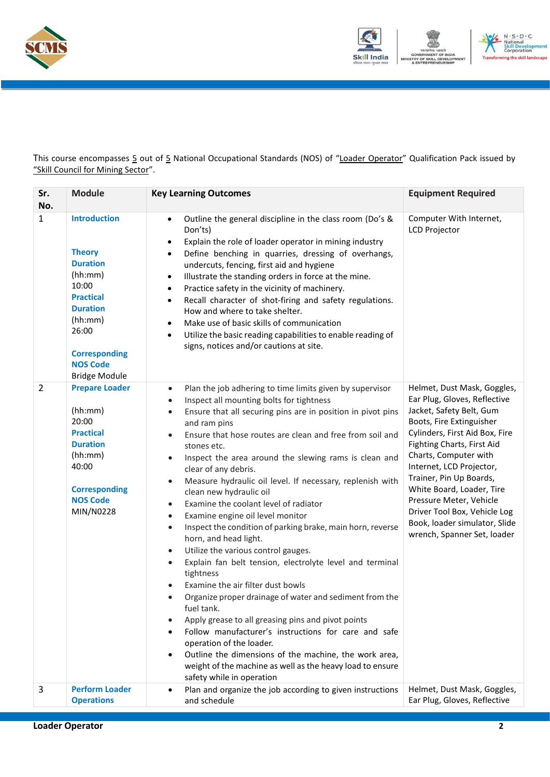



This course encompasses 5 out of 5 National Occupational Standards (NOS) of "Loader Operator" Qualification Pack issued by "Skill Council for Mining Sector".

| Sr.<br>No.     | <b>Module</b>                                                                                                                                                                                             | <b>Key Learning Outcomes</b>                                                                                                                                                                                                                                                                                                                                                                                                                                                                                                                                                                                                                                                                                                                                                                                                                                                                                                                                                                                                                                                                                                                                                                                                                                | <b>Equipment Required</b>                                                                                                                                                                                                                                                                                                                                                                                                   |
|----------------|-----------------------------------------------------------------------------------------------------------------------------------------------------------------------------------------------------------|-------------------------------------------------------------------------------------------------------------------------------------------------------------------------------------------------------------------------------------------------------------------------------------------------------------------------------------------------------------------------------------------------------------------------------------------------------------------------------------------------------------------------------------------------------------------------------------------------------------------------------------------------------------------------------------------------------------------------------------------------------------------------------------------------------------------------------------------------------------------------------------------------------------------------------------------------------------------------------------------------------------------------------------------------------------------------------------------------------------------------------------------------------------------------------------------------------------------------------------------------------------|-----------------------------------------------------------------------------------------------------------------------------------------------------------------------------------------------------------------------------------------------------------------------------------------------------------------------------------------------------------------------------------------------------------------------------|
| $\mathbf{1}$   | <b>Introduction</b><br><b>Theory</b><br><b>Duration</b><br>(hh:mm)<br>10:00<br><b>Practical</b><br><b>Duration</b><br>(hh:mm)<br>26:00<br><b>Corresponding</b><br><b>NOS Code</b><br><b>Bridge Module</b> | Outline the general discipline in the class room (Do's &<br>$\bullet$<br>Don'ts)<br>Explain the role of loader operator in mining industry<br>٠<br>Define benching in quarries, dressing of overhangs,<br>$\bullet$<br>undercuts, fencing, first aid and hygiene<br>Illustrate the standing orders in force at the mine.<br>$\bullet$<br>Practice safety in the vicinity of machinery.<br>$\bullet$<br>Recall character of shot-firing and safety regulations.<br>$\bullet$<br>How and where to take shelter.<br>Make use of basic skills of communication<br>$\bullet$<br>Utilize the basic reading capabilities to enable reading of<br>$\bullet$<br>signs, notices and/or cautions at site.                                                                                                                                                                                                                                                                                                                                                                                                                                                                                                                                                              | Computer With Internet,<br><b>LCD Projector</b>                                                                                                                                                                                                                                                                                                                                                                             |
| $\overline{2}$ | <b>Prepare Loader</b><br>(hh:mm)<br>20:00<br><b>Practical</b><br><b>Duration</b><br>(hh:mm)<br>40:00<br><b>Corresponding</b><br><b>NOS Code</b><br>MIN/N0228                                              | Plan the job adhering to time limits given by supervisor<br>$\bullet$<br>Inspect all mounting bolts for tightness<br>$\bullet$<br>Ensure that all securing pins are in position in pivot pins<br>$\bullet$<br>and ram pins<br>Ensure that hose routes are clean and free from soil and<br>$\bullet$<br>stones etc.<br>Inspect the area around the slewing rams is clean and<br>$\bullet$<br>clear of any debris.<br>Measure hydraulic oil level. If necessary, replenish with<br>$\bullet$<br>clean new hydraulic oil<br>Examine the coolant level of radiator<br>Examine engine oil level monitor<br>$\bullet$<br>Inspect the condition of parking brake, main horn, reverse<br>$\bullet$<br>horn, and head light.<br>Utilize the various control gauges.<br>Explain fan belt tension, electrolyte level and terminal<br>$\bullet$<br>tightness<br>Examine the air filter dust bowls<br>Organize proper drainage of water and sediment from the<br>fuel tank.<br>Apply grease to all greasing pins and pivot points<br>Follow manufacturer's instructions for care and safe<br>operation of the loader.<br>Outline the dimensions of the machine, the work area,<br>weight of the machine as well as the heavy load to ensure<br>safety while in operation | Helmet, Dust Mask, Goggles,<br>Ear Plug, Gloves, Reflective<br>Jacket, Safety Belt, Gum<br>Boots, Fire Extinguisher<br>Cylinders, First Aid Box, Fire<br>Fighting Charts, First Aid<br>Charts, Computer with<br>Internet, LCD Projector,<br>Trainer, Pin Up Boards,<br>White Board, Loader, Tire<br>Pressure Meter, Vehicle<br>Driver Tool Box, Vehicle Log<br>Book, loader simulator, Slide<br>wrench, Spanner Set, loader |
| 3              | <b>Perform Loader</b><br><b>Operations</b>                                                                                                                                                                | Plan and organize the job according to given instructions<br>and schedule                                                                                                                                                                                                                                                                                                                                                                                                                                                                                                                                                                                                                                                                                                                                                                                                                                                                                                                                                                                                                                                                                                                                                                                   | Helmet, Dust Mask, Goggles,<br>Ear Plug, Gloves, Reflective                                                                                                                                                                                                                                                                                                                                                                 |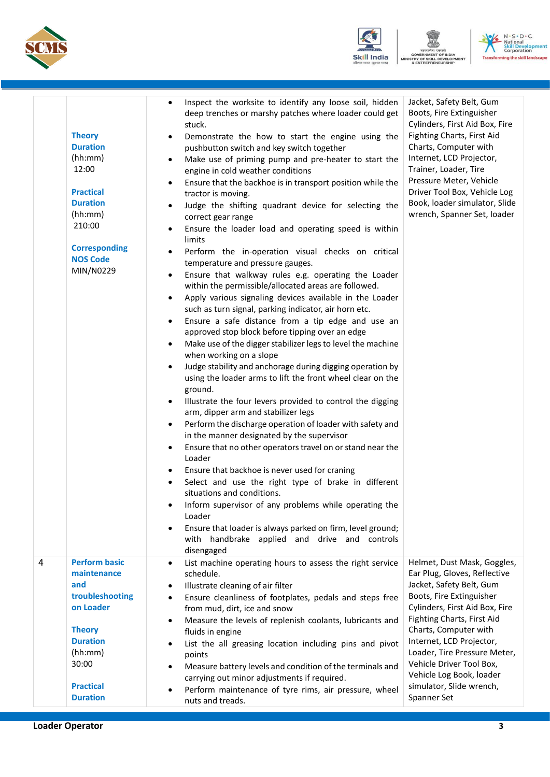





|   | <b>Theory</b><br><b>Duration</b><br>(hh:mm)<br>12:00<br><b>Practical</b><br><b>Duration</b><br>(hh:mm)<br>210:00<br><b>Corresponding</b><br><b>NOS Code</b><br>MIN/N0229  | Inspect the worksite to identify any loose soil, hidden<br>$\bullet$<br>deep trenches or marshy patches where loader could get<br>stuck.<br>Demonstrate the how to start the engine using the<br>٠<br>pushbutton switch and key switch together<br>Make use of priming pump and pre-heater to start the<br>$\bullet$<br>engine in cold weather conditions<br>Ensure that the backhoe is in transport position while the<br>$\bullet$<br>tractor is moving.<br>Judge the shifting quadrant device for selecting the<br>$\bullet$<br>correct gear range<br>Ensure the loader load and operating speed is within<br>٠<br>limits<br>Perform the in-operation visual checks on critical<br>$\bullet$<br>temperature and pressure gauges.<br>Ensure that walkway rules e.g. operating the Loader<br>٠<br>within the permissible/allocated areas are followed.<br>Apply various signaling devices available in the Loader<br>$\bullet$<br>such as turn signal, parking indicator, air horn etc.<br>Ensure a safe distance from a tip edge and use an<br>$\bullet$<br>approved stop block before tipping over an edge<br>Make use of the digger stabilizer legs to level the machine<br>$\bullet$<br>when working on a slope<br>Judge stability and anchorage during digging operation by<br>$\bullet$<br>using the loader arms to lift the front wheel clear on the<br>ground.<br>Illustrate the four levers provided to control the digging<br>٠<br>arm, dipper arm and stabilizer legs<br>Perform the discharge operation of loader with safety and<br>٠<br>in the manner designated by the supervisor<br>Ensure that no other operators travel on or stand near the<br>٠<br>Loader<br>Ensure that backhoe is never used for craning<br>Select and use the right type of brake in different<br>$\bullet$<br>situations and conditions.<br>Inform supervisor of any problems while operating the<br>Loader<br>Ensure that loader is always parked on firm, level ground;<br>$\bullet$ | Jacket, Safety Belt, Gum<br>Boots, Fire Extinguisher<br>Cylinders, First Aid Box, Fire<br>Fighting Charts, First Aid<br>Charts, Computer with<br>Internet, LCD Projector,<br>Trainer, Loader, Tire<br>Pressure Meter, Vehicle<br>Driver Tool Box, Vehicle Log<br>Book, loader simulator, Slide<br>wrench, Spanner Set, loader                                               |
|---|---------------------------------------------------------------------------------------------------------------------------------------------------------------------------|---------------------------------------------------------------------------------------------------------------------------------------------------------------------------------------------------------------------------------------------------------------------------------------------------------------------------------------------------------------------------------------------------------------------------------------------------------------------------------------------------------------------------------------------------------------------------------------------------------------------------------------------------------------------------------------------------------------------------------------------------------------------------------------------------------------------------------------------------------------------------------------------------------------------------------------------------------------------------------------------------------------------------------------------------------------------------------------------------------------------------------------------------------------------------------------------------------------------------------------------------------------------------------------------------------------------------------------------------------------------------------------------------------------------------------------------------------------------------------------------------------------------------------------------------------------------------------------------------------------------------------------------------------------------------------------------------------------------------------------------------------------------------------------------------------------------------------------------------------------------------------------------------------------------------------------------------------------------------------|-----------------------------------------------------------------------------------------------------------------------------------------------------------------------------------------------------------------------------------------------------------------------------------------------------------------------------------------------------------------------------|
|   |                                                                                                                                                                           | with handbrake applied and drive and controls<br>disengaged                                                                                                                                                                                                                                                                                                                                                                                                                                                                                                                                                                                                                                                                                                                                                                                                                                                                                                                                                                                                                                                                                                                                                                                                                                                                                                                                                                                                                                                                                                                                                                                                                                                                                                                                                                                                                                                                                                                     |                                                                                                                                                                                                                                                                                                                                                                             |
| 4 | <b>Perform basic</b><br>maintenance<br>and<br>troubleshooting<br>on Loader<br><b>Theory</b><br><b>Duration</b><br>(hh:mm)<br>30:00<br><b>Practical</b><br><b>Duration</b> | List machine operating hours to assess the right service<br>$\bullet$<br>schedule.<br>Illustrate cleaning of air filter<br>$\bullet$<br>Ensure cleanliness of footplates, pedals and steps free<br>$\bullet$<br>from mud, dirt, ice and snow<br>Measure the levels of replenish coolants, lubricants and<br>$\bullet$<br>fluids in engine<br>List the all greasing location including pins and pivot<br>٠<br>points<br>Measure battery levels and condition of the terminals and<br>$\bullet$<br>carrying out minor adjustments if required.<br>Perform maintenance of tyre rims, air pressure, wheel<br>٠<br>nuts and treads.                                                                                                                                                                                                                                                                                                                                                                                                                                                                                                                                                                                                                                                                                                                                                                                                                                                                                                                                                                                                                                                                                                                                                                                                                                                                                                                                                  | Helmet, Dust Mask, Goggles,<br>Ear Plug, Gloves, Reflective<br>Jacket, Safety Belt, Gum<br>Boots, Fire Extinguisher<br>Cylinders, First Aid Box, Fire<br>Fighting Charts, First Aid<br>Charts, Computer with<br>Internet, LCD Projector,<br>Loader, Tire Pressure Meter,<br>Vehicle Driver Tool Box,<br>Vehicle Log Book, loader<br>simulator, Slide wrench,<br>Spanner Set |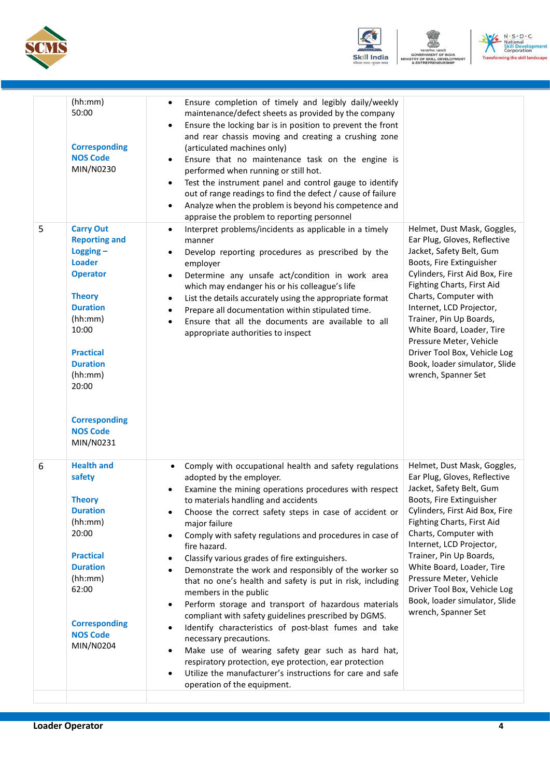





| 5 | (hh:mm)<br>50:00<br><b>Corresponding</b><br><b>NOS Code</b><br>MIN/N0230<br><b>Carry Out</b><br><b>Reporting and</b><br>$Logging -$<br><b>Loader</b><br><b>Operator</b><br><b>Theory</b><br><b>Duration</b><br>(hh:mm)<br>10:00<br><b>Practical</b><br><b>Duration</b><br>(hh:mm)<br>20:00<br><b>Corresponding</b> | Ensure completion of timely and legibly daily/weekly<br>maintenance/defect sheets as provided by the company<br>Ensure the locking bar is in position to prevent the front<br>$\bullet$<br>and rear chassis moving and creating a crushing zone<br>(articulated machines only)<br>Ensure that no maintenance task on the engine is<br>performed when running or still hot.<br>Test the instrument panel and control gauge to identify<br>$\bullet$<br>out of range readings to find the defect / cause of failure<br>Analyze when the problem is beyond his competence and<br>$\bullet$<br>appraise the problem to reporting personnel<br>Interpret problems/incidents as applicable in a timely<br>$\bullet$<br>manner<br>Develop reporting procedures as prescribed by the<br>employer<br>Determine any unsafe act/condition in work area<br>٠<br>which may endanger his or his colleague's life<br>List the details accurately using the appropriate format<br>$\bullet$<br>Prepare all documentation within stipulated time.<br>٠<br>Ensure that all the documents are available to all<br>$\bullet$<br>appropriate authorities to inspect | Helmet, Dust Mask, Goggles,<br>Ear Plug, Gloves, Reflective<br>Jacket, Safety Belt, Gum<br>Boots, Fire Extinguisher<br>Cylinders, First Aid Box, Fire<br>Fighting Charts, First Aid<br>Charts, Computer with<br>Internet, LCD Projector,<br>Trainer, Pin Up Boards,<br>White Board, Loader, Tire<br>Pressure Meter, Vehicle<br>Driver Tool Box, Vehicle Log<br>Book, loader simulator, Slide<br>wrench, Spanner Set |
|---|--------------------------------------------------------------------------------------------------------------------------------------------------------------------------------------------------------------------------------------------------------------------------------------------------------------------|------------------------------------------------------------------------------------------------------------------------------------------------------------------------------------------------------------------------------------------------------------------------------------------------------------------------------------------------------------------------------------------------------------------------------------------------------------------------------------------------------------------------------------------------------------------------------------------------------------------------------------------------------------------------------------------------------------------------------------------------------------------------------------------------------------------------------------------------------------------------------------------------------------------------------------------------------------------------------------------------------------------------------------------------------------------------------------------------------------------------------------------------|---------------------------------------------------------------------------------------------------------------------------------------------------------------------------------------------------------------------------------------------------------------------------------------------------------------------------------------------------------------------------------------------------------------------|
| 6 | <b>NOS Code</b><br>MIN/N0231<br><b>Health and</b><br>safety<br><b>Theory</b><br><b>Duration</b><br>(hh:mm)<br>20:00<br><b>Practical</b><br><b>Duration</b><br>(hh:mm)<br>62:00<br><b>Corresponding</b><br><b>NOS Code</b><br>MIN/N0204                                                                             | Comply with occupational health and safety regulations<br>$\bullet$<br>adopted by the employer.<br>Examine the mining operations procedures with respect<br>to materials handling and accidents<br>Choose the correct safety steps in case of accident or<br>major failure<br>Comply with safety regulations and procedures in case of<br>$\bullet$<br>fire hazard.<br>Classify various grades of fire extinguishers.<br>٠<br>Demonstrate the work and responsibly of the worker so<br>$\bullet$<br>that no one's health and safety is put in risk, including<br>members in the public<br>Perform storage and transport of hazardous materials<br>$\bullet$<br>compliant with safety guidelines prescribed by DGMS.<br>Identify characteristics of post-blast fumes and take<br>$\bullet$<br>necessary precautions.<br>Make use of wearing safety gear such as hard hat,<br>$\bullet$<br>respiratory protection, eye protection, ear protection<br>Utilize the manufacturer's instructions for care and safe<br>operation of the equipment.                                                                                                    | Helmet, Dust Mask, Goggles,<br>Ear Plug, Gloves, Reflective<br>Jacket, Safety Belt, Gum<br>Boots, Fire Extinguisher<br>Cylinders, First Aid Box, Fire<br>Fighting Charts, First Aid<br>Charts, Computer with<br>Internet, LCD Projector,<br>Trainer, Pin Up Boards,<br>White Board, Loader, Tire<br>Pressure Meter, Vehicle<br>Driver Tool Box, Vehicle Log<br>Book, loader simulator, Slide<br>wrench, Spanner Set |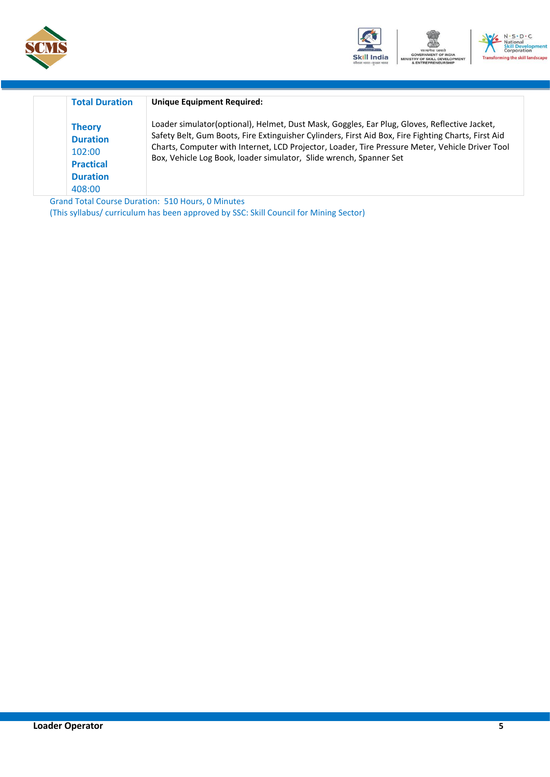



| <b>Total Duration</b>                                                                       | <b>Unique Equipment Required:</b>                                                                                                                                                                                                                                                                                                                                            |
|---------------------------------------------------------------------------------------------|------------------------------------------------------------------------------------------------------------------------------------------------------------------------------------------------------------------------------------------------------------------------------------------------------------------------------------------------------------------------------|
| <b>Theory</b><br><b>Duration</b><br>102:00<br><b>Practical</b><br><b>Duration</b><br>408:00 | Loader simulator(optional), Helmet, Dust Mask, Goggles, Ear Plug, Gloves, Reflective Jacket,<br>Safety Belt, Gum Boots, Fire Extinguisher Cylinders, First Aid Box, Fire Fighting Charts, First Aid<br>Charts, Computer with Internet, LCD Projector, Loader, Tire Pressure Meter, Vehicle Driver Tool<br>Box, Vehicle Log Book, loader simulator, Slide wrench, Spanner Set |

Grand Total Course Duration: 510 Hours, 0 Minutes (This syllabus/ curriculum has been approved by SSC: Skill Council for Mining Sector)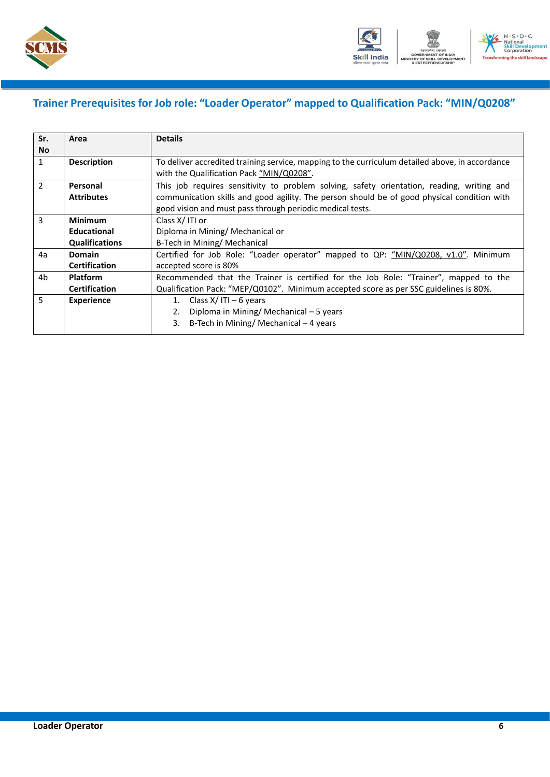



### <span id="page-8-0"></span>**Trainer Prerequisites for Job role: "Loader Operator" mapped to Qualification Pack: "MIN/Q0208"**

| Sr.            | Area                  | <b>Details</b>                                                                                  |  |  |  |
|----------------|-----------------------|-------------------------------------------------------------------------------------------------|--|--|--|
| <b>No</b>      |                       |                                                                                                 |  |  |  |
| $\mathbf{1}$   | <b>Description</b>    | To deliver accredited training service, mapping to the curriculum detailed above, in accordance |  |  |  |
|                |                       | with the Qualification Pack "MIN/Q0208".                                                        |  |  |  |
| 2              | Personal              | This job requires sensitivity to problem solving, safety orientation, reading, writing and      |  |  |  |
|                | <b>Attributes</b>     | communication skills and good agility. The person should be of good physical condition with     |  |  |  |
|                |                       | good vision and must pass through periodic medical tests.                                       |  |  |  |
| $\overline{3}$ | <b>Minimum</b>        | Class X/ITI or                                                                                  |  |  |  |
|                | <b>Educational</b>    | Diploma in Mining/ Mechanical or                                                                |  |  |  |
|                | <b>Qualifications</b> | B-Tech in Mining/ Mechanical                                                                    |  |  |  |
| 4a             | <b>Domain</b>         | Certified for Job Role: "Loader operator" mapped to QP: "MIN/Q0208, v1.0". Minimum              |  |  |  |
|                | <b>Certification</b>  | accepted score is 80%                                                                           |  |  |  |
| 4b             | <b>Platform</b>       | Recommended that the Trainer is certified for the Job Role: "Trainer", mapped to the            |  |  |  |
|                | <b>Certification</b>  | Qualification Pack: "MEP/Q0102". Minimum accepted score as per SSC guidelines is 80%.           |  |  |  |
| 5.             | <b>Experience</b>     | 1. Class $X/$ ITI – 6 years                                                                     |  |  |  |
|                |                       | Diploma in Mining/Mechanical - 5 years<br>2.                                                    |  |  |  |
|                |                       | B-Tech in Mining/ Mechanical – 4 years<br>3.                                                    |  |  |  |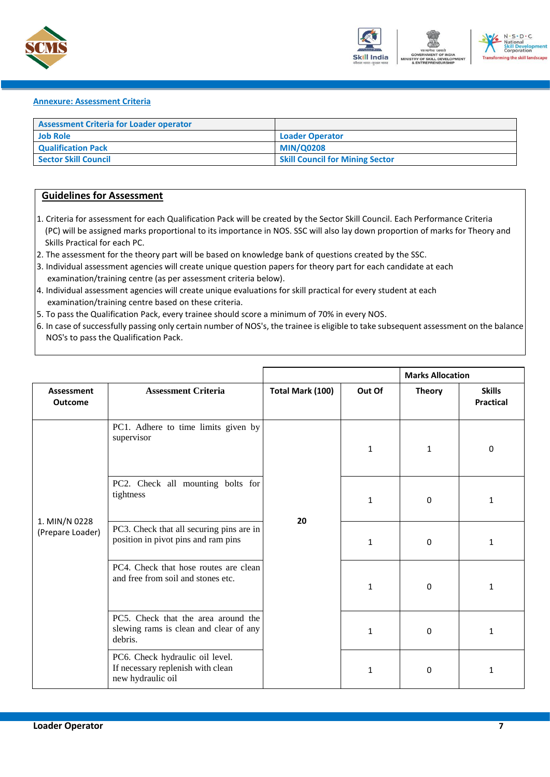



#### <span id="page-9-0"></span>**Annexure: Assessment Criteria**

| <b>Assessment Criteria for Loader operator</b> |                                        |
|------------------------------------------------|----------------------------------------|
| <b>Job Role</b>                                | <b>Loader Operator</b>                 |
| <b>Qualification Pack</b>                      | <b>MIN/Q0208</b>                       |
| <b>Sector Skill Council</b>                    | <b>Skill Council for Mining Sector</b> |

#### **Guidelines for Assessment**

- 1. Criteria for assessment for each Qualification Pack will be created by the Sector Skill Council. Each Performance Criteria (PC) will be assigned marks proportional to its importance in NOS. SSC will also lay down proportion of marks for Theory and Skills Practical for each PC.
- 2. The assessment for the theory part will be based on knowledge bank of questions created by the SSC.
- 3. Individual assessment agencies will create unique question papers for theory part for each candidate at each examination/training centre (as per assessment criteria below).
- 4. Individual assessment agencies will create unique evaluations for skill practical for every student at each examination/training centre based on these criteria.
- 5. To pass the Qualification Pack, every trainee should score a minimum of 70% in every NOS.
- 6. In case of successfully passing only certain number of NOS's, the trainee is eligible to take subsequent assessment on the balance NOS's to pass the Qualification Pack.

|                                   |                                                                                           |                  |              | <b>Marks Allocation</b> |                                   |
|-----------------------------------|-------------------------------------------------------------------------------------------|------------------|--------------|-------------------------|-----------------------------------|
| Assessment<br><b>Outcome</b>      | <b>Assessment Criteria</b>                                                                | Total Mark (100) | Out Of       | <b>Theory</b>           | <b>Skills</b><br><b>Practical</b> |
|                                   | PC1. Adhere to time limits given by<br>supervisor                                         |                  | $\mathbf{1}$ | 1                       | 0                                 |
| 1. MIN/N 0228<br>(Prepare Loader) | PC2. Check all mounting bolts for<br>tightness                                            | 20               | $\mathbf{1}$ | 0                       | $\mathbf{1}$                      |
|                                   | PC3. Check that all securing pins are in<br>position in pivot pins and ram pins           |                  | $\mathbf{1}$ | 0                       | $\mathbf{1}$                      |
|                                   | PC4. Check that hose routes are clean<br>and free from soil and stones etc.               |                  | $\mathbf{1}$ | 0                       | 1                                 |
|                                   | PC5. Check that the area around the<br>slewing rams is clean and clear of any<br>debris.  |                  | 1            | 0                       | $\mathbf{1}$                      |
|                                   | PC6. Check hydraulic oil level.<br>If necessary replenish with clean<br>new hydraulic oil |                  | 1            | 0                       | 1                                 |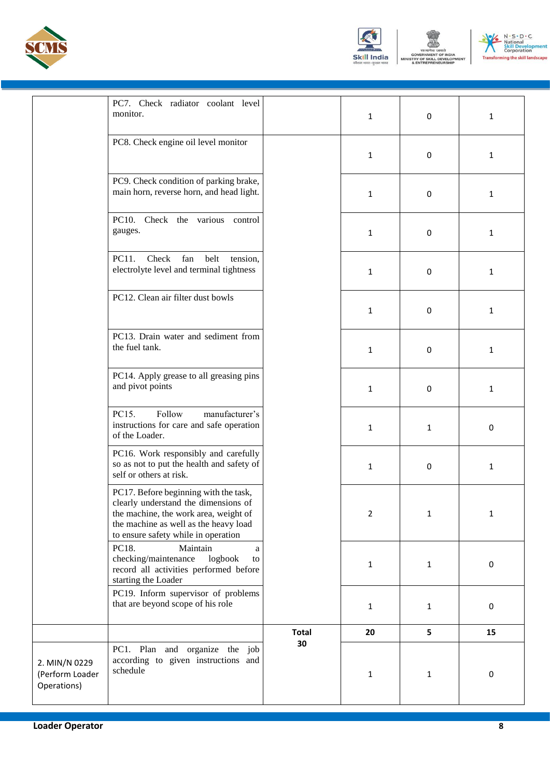





|                                                 | PC7. Check radiator coolant level<br>monitor.                                                                                                                                                          |              | 1              | 0            | $\mathbf{1}$ |
|-------------------------------------------------|--------------------------------------------------------------------------------------------------------------------------------------------------------------------------------------------------------|--------------|----------------|--------------|--------------|
|                                                 | PC8. Check engine oil level monitor                                                                                                                                                                    |              | 1              | $\mathbf 0$  | $\mathbf{1}$ |
|                                                 | PC9. Check condition of parking brake,<br>main horn, reverse horn, and head light.                                                                                                                     |              | 1              | $\mathbf 0$  | $\mathbf{1}$ |
|                                                 | PC10. Check the various control<br>gauges.                                                                                                                                                             |              | $\mathbf{1}$   | $\mathbf 0$  | $\mathbf{1}$ |
|                                                 | PC11.<br>Check<br>fan<br>belt<br>tension,<br>electrolyte level and terminal tightness                                                                                                                  |              | 1              | 0            | $\mathbf{1}$ |
|                                                 | PC12. Clean air filter dust bowls                                                                                                                                                                      |              | $\mathbf{1}$   | $\mathbf 0$  | $\mathbf{1}$ |
|                                                 | PC13. Drain water and sediment from<br>the fuel tank.                                                                                                                                                  |              | 1              | $\mathbf 0$  | $\mathbf{1}$ |
|                                                 | PC14. Apply grease to all greasing pins<br>and pivot points                                                                                                                                            |              | 1              | $\mathbf 0$  | $\mathbf{1}$ |
|                                                 | PC15.<br>Follow<br>manufacturer's<br>instructions for care and safe operation<br>of the Loader.                                                                                                        |              | $\mathbf{1}$   | $\mathbf{1}$ | 0            |
|                                                 | PC16. Work responsibly and carefully<br>so as not to put the health and safety of<br>self or others at risk.                                                                                           |              | $\mathbf{1}$   | 0            | $\mathbf{1}$ |
|                                                 | PC17. Before beginning with the task,<br>clearly understand the dimensions of<br>the machine, the work area, weight of<br>the machine as well as the heavy load<br>to ensure safety while in operation |              | $\overline{2}$ | $\mathbf{1}$ | 1            |
|                                                 | PC18.<br>Maintain<br>a<br>checking/maintenance<br>logbook<br>to<br>record all activities performed before<br>starting the Loader                                                                       |              | 1              | $\mathbf{1}$ | 0            |
|                                                 | PC19. Inform supervisor of problems<br>that are beyond scope of his role                                                                                                                               |              | $\mathbf{1}$   | $\mathbf{1}$ | 0            |
|                                                 |                                                                                                                                                                                                        | <b>Total</b> | 20             | 5            | 15           |
| 2. MIN/N 0229<br>(Perform Loader<br>Operations) | PC1. Plan and organize the job<br>according to given instructions and<br>schedule                                                                                                                      | 30           | 1              | $\mathbf{1}$ | 0            |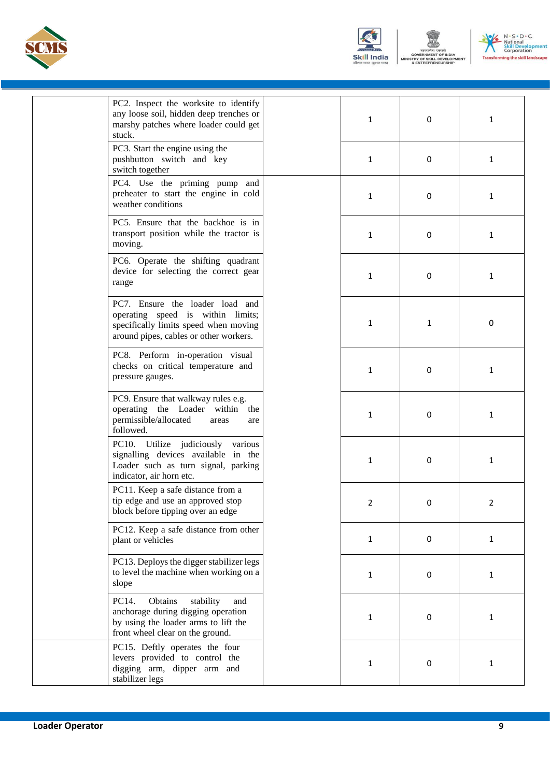





| PC2. Inspect the worksite to identify<br>any loose soil, hidden deep trenches or<br>marshy patches where loader could get                               | $\mathbf{1}$ | 0 | $\mathbf{1}$ |
|---------------------------------------------------------------------------------------------------------------------------------------------------------|--------------|---|--------------|
| stuck.<br>PC3. Start the engine using the<br>pushbutton switch and key<br>switch together                                                               | 1            | 0 | 1            |
| PC4. Use the priming pump and<br>preheater to start the engine in cold<br>weather conditions                                                            | $\mathbf{1}$ | 0 | $\mathbf{1}$ |
| PC5. Ensure that the backhoe is in<br>transport position while the tractor is<br>moving.                                                                | 1            | 0 | 1            |
| PC6. Operate the shifting quadrant<br>device for selecting the correct gear<br>range                                                                    | $\mathbf{1}$ | 0 | 1            |
| PC7. Ensure the loader load and<br>operating speed is within limits;<br>specifically limits speed when moving<br>around pipes, cables or other workers. | 1            | 1 | 0            |
| PC8. Perform in-operation visual<br>checks on critical temperature and<br>pressure gauges.                                                              | $\mathbf{1}$ | 0 | 1            |
| PC9. Ensure that walkway rules e.g.<br>operating the Loader within the<br>permissible/allocated<br>areas<br>are<br>followed.                            | 1            | 0 | 1            |
| PC10. Utilize judiciously various<br>signalling devices available in the<br>Loader such as turn signal, parking<br>indicator, air horn etc.             | $\mathbf{1}$ | 0 | 1            |
| PC11. Keep a safe distance from a<br>tip edge and use an approved stop<br>block before tipping over an edge                                             | 2            | 0 | 2            |
| PC12. Keep a safe distance from other<br>plant or vehicles                                                                                              | $\mathbf{1}$ | 0 | $\mathbf{1}$ |
| PC13. Deploys the digger stabilizer legs<br>to level the machine when working on a<br>slope                                                             | $\mathbf{1}$ | 0 | 1            |
| PC14.<br>Obtains<br>stability<br>and<br>anchorage during digging operation<br>by using the loader arms to lift the<br>front wheel clear on the ground.  | $\mathbf{1}$ | 0 | 1            |
| PC15. Deftly operates the four<br>levers provided to control the<br>digging arm, dipper arm and<br>stabilizer legs                                      | $\mathbf{1}$ | 0 | 1            |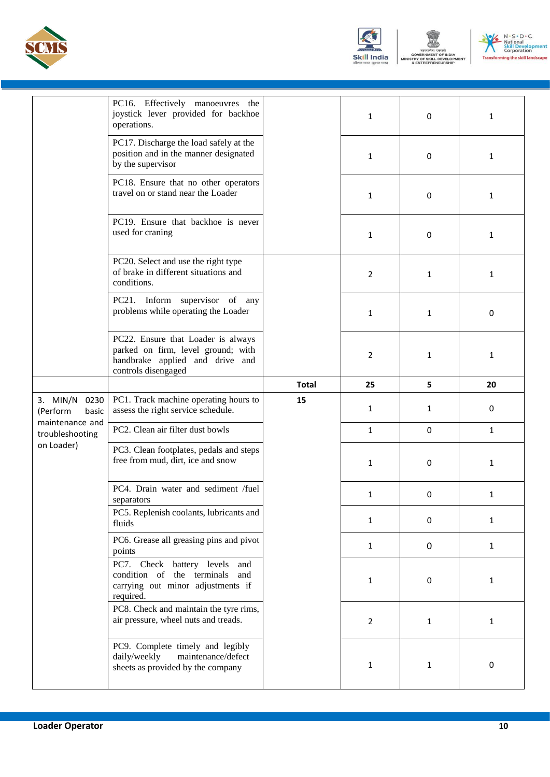





|                                         | PC16. Effectively manoeuvres the<br>joystick lever provided for backhoe<br>operations.                                             |              | $\mathbf{1}$   | 0            | $\mathbf{1}$ |
|-----------------------------------------|------------------------------------------------------------------------------------------------------------------------------------|--------------|----------------|--------------|--------------|
|                                         | PC17. Discharge the load safely at the<br>position and in the manner designated<br>by the supervisor                               |              | 1              | 0            | 1            |
|                                         | PC18. Ensure that no other operators<br>travel on or stand near the Loader                                                         |              | $\mathbf{1}$   | 0            | $\mathbf{1}$ |
|                                         | PC19. Ensure that backhoe is never<br>used for craning                                                                             |              | 1              | 0            | 1            |
|                                         | PC20. Select and use the right type<br>of brake in different situations and<br>conditions.                                         |              | $\overline{2}$ | 1            | $\mathbf{1}$ |
|                                         | PC21. Inform supervisor of any<br>problems while operating the Loader                                                              |              | $\mathbf{1}$   | 1            | 0            |
|                                         | PC22. Ensure that Loader is always<br>parked on firm, level ground; with<br>handbrake applied and drive and<br>controls disengaged |              | 2              | 1            | 1            |
|                                         |                                                                                                                                    | <b>Total</b> | 25             | 5            | 20           |
| $3.$ MIN/N<br>0230<br>(Perform<br>basic | PC1. Track machine operating hours to<br>assess the right service schedule.                                                        | 15           | $\mathbf{1}$   | 1            | 0            |
| maintenance and<br>troubleshooting      | PC2. Clean air filter dust bowls                                                                                                   |              | $\mathbf{1}$   | $\mathbf 0$  | $\mathbf{1}$ |
| on Loader)                              | PC3. Clean footplates, pedals and steps<br>free from mud, dirt, ice and snow                                                       |              | 1              | 0            | $\mathbf{1}$ |
|                                         | PC4. Drain water and sediment /fuel<br>separators                                                                                  |              | 1              | 0            | $\mathbf{1}$ |
|                                         | PC5. Replenish coolants, lubricants and<br>fluids                                                                                  |              | $\mathbf{1}$   | 0            | $\mathbf{1}$ |
|                                         | PC6. Grease all greasing pins and pivot<br>points                                                                                  |              | $\mathbf{1}$   | 0            | $\mathbf{1}$ |
|                                         | PC7. Check battery levels and<br>condition of the terminals and<br>carrying out minor adjustments if<br>required.                  |              | $\mathbf{1}$   | 0            | $\mathbf{1}$ |
|                                         | PC8. Check and maintain the tyre rims,<br>air pressure, wheel nuts and treads.                                                     |              | $\overline{2}$ | $\mathbf{1}$ | $\mathbf{1}$ |
|                                         | PC9. Complete timely and legibly<br>daily/weekly<br>maintenance/defect<br>sheets as provided by the company                        |              | 1              | $\mathbf{1}$ | 0            |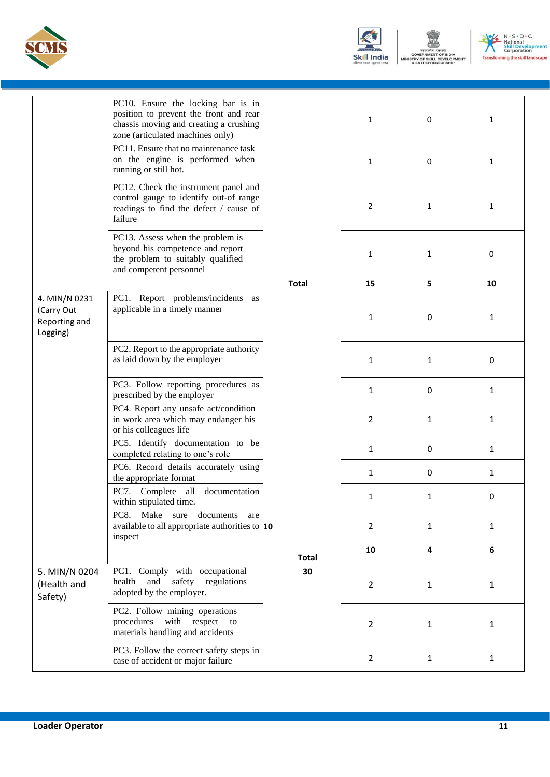





|                                                          | PC10. Ensure the locking bar is in<br>position to prevent the front and rear<br>chassis moving and creating a crushing<br>zone (articulated machines only) |              | 1              | 0            | 1            |
|----------------------------------------------------------|------------------------------------------------------------------------------------------------------------------------------------------------------------|--------------|----------------|--------------|--------------|
|                                                          | PC11. Ensure that no maintenance task<br>on the engine is performed when<br>running or still hot.                                                          |              | 1              | 0            | 1            |
|                                                          | PC12. Check the instrument panel and<br>control gauge to identify out-of range<br>readings to find the defect / cause of<br>failure                        |              | 2              | 1            | 1            |
|                                                          | PC13. Assess when the problem is<br>beyond his competence and report<br>the problem to suitably qualified<br>and competent personnel                       |              | 1              | 1            | 0            |
|                                                          |                                                                                                                                                            | <b>Total</b> | 15             | 5            | 10           |
| 4. MIN/N 0231<br>(Carry Out<br>Reporting and<br>Logging) | PC1. Report problems/incidents as<br>applicable in a timely manner                                                                                         |              | 1              | 0            | 1            |
|                                                          | PC2. Report to the appropriate authority<br>as laid down by the employer                                                                                   |              | 1              | 1            | 0            |
|                                                          | PC3. Follow reporting procedures as<br>prescribed by the employer                                                                                          |              | $\mathbf{1}$   | 0            | $\mathbf{1}$ |
|                                                          | PC4. Report any unsafe act/condition<br>in work area which may endanger his<br>or his colleagues life                                                      |              | $\overline{2}$ | $\mathbf{1}$ | $\mathbf{1}$ |
|                                                          | PC5. Identify documentation to be<br>completed relating to one's role                                                                                      |              | 1              | 0            | $\mathbf{1}$ |
|                                                          | PC6. Record details accurately using<br>the appropriate format                                                                                             |              | 1              | 0            | $\mathbf{1}$ |
|                                                          | PC7. Complete all documentation<br>within stipulated time.                                                                                                 |              | 1              | 1            | 0            |
|                                                          | PC8.<br>Make<br>sure<br>documents<br>are<br>available to all appropriate authorities to $ 10\rangle$<br>inspect                                            |              | $\overline{2}$ | $\mathbf{1}$ | $\mathbf{1}$ |
|                                                          |                                                                                                                                                            | <b>Total</b> | 10             | 4            | 6            |
| 5. MIN/N 0204<br>(Health and<br>Safety)                  | PC1. Comply with occupational<br>safety regulations<br>health<br>and<br>adopted by the employer.                                                           | 30           | $\overline{2}$ | $\mathbf{1}$ | $\mathbf{1}$ |
|                                                          | PC2. Follow mining operations<br>procedures with respect<br>to<br>materials handling and accidents                                                         |              | $\overline{2}$ | $\mathbf{1}$ | $\mathbf{1}$ |
|                                                          | PC3. Follow the correct safety steps in<br>case of accident or major failure                                                                               |              | $\overline{2}$ | $\mathbf{1}$ | $\mathbf{1}$ |
|                                                          |                                                                                                                                                            |              |                |              |              |